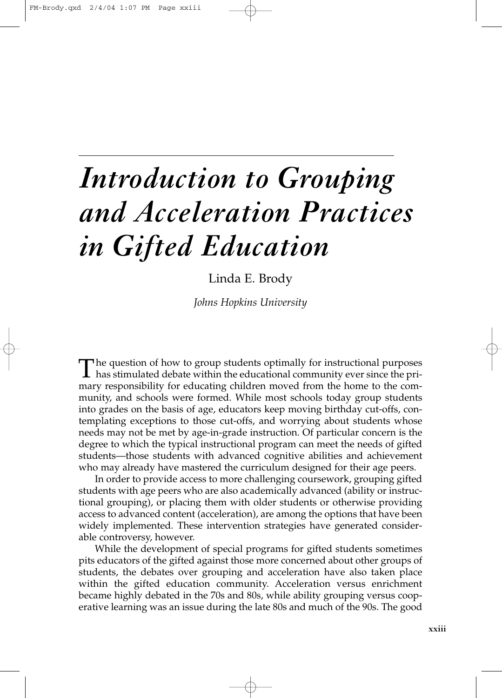# *Introduction to Grouping and Acceleration Practices in Gifted Education*

## Linda E. Brody

*Johns Hopkins University*

The question of how to group students optimally for instructional purposes<br>has stimulated debate within the educational community ever since the pri-<br>magnesius stilling for a ducation shill have moved from the home to the mary responsibility for educating children moved from the home to the community, and schools were formed. While most schools today group students into grades on the basis of age, educators keep moving birthday cut-offs, contemplating exceptions to those cut-offs, and worrying about students whose needs may not be met by age-in-grade instruction. Of particular concern is the degree to which the typical instructional program can meet the needs of gifted students—those students with advanced cognitive abilities and achievement who may already have mastered the curriculum designed for their age peers.

In order to provide access to more challenging coursework, grouping gifted students with age peers who are also academically advanced (ability or instructional grouping), or placing them with older students or otherwise providing access to advanced content (acceleration), are among the options that have been widely implemented. These intervention strategies have generated considerable controversy, however.

While the development of special programs for gifted students sometimes pits educators of the gifted against those more concerned about other groups of students, the debates over grouping and acceleration have also taken place within the gifted education community. Acceleration versus enrichment became highly debated in the 70s and 80s, while ability grouping versus cooperative learning was an issue during the late 80s and much of the 90s. The good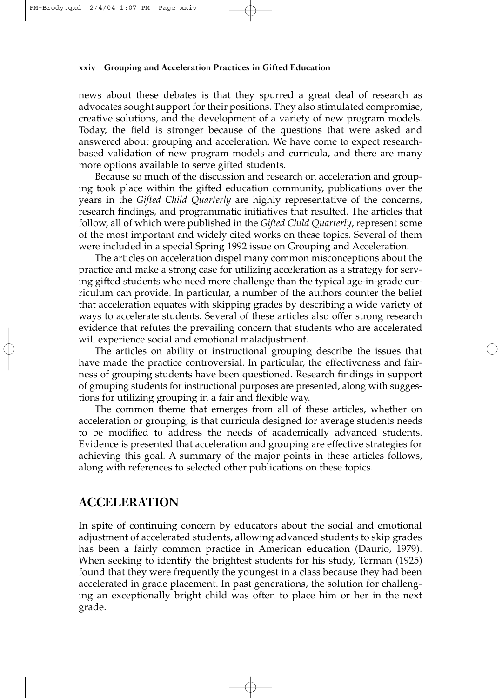#### **xxiv Grouping and Acceleration Practices in Gifted Education**

news about these debates is that they spurred a great deal of research as advocates sought support for their positions. They also stimulated compromise, creative solutions, and the development of a variety of new program models. Today, the field is stronger because of the questions that were asked and answered about grouping and acceleration. We have come to expect researchbased validation of new program models and curricula, and there are many more options available to serve gifted students.

Because so much of the discussion and research on acceleration and grouping took place within the gifted education community, publications over the years in the *Gifted Child Quarterly* are highly representative of the concerns, research findings, and programmatic initiatives that resulted. The articles that follow, all of which were published in the *Gifted Child Quarterly*, represent some of the most important and widely cited works on these topics. Several of them were included in a special Spring 1992 issue on Grouping and Acceleration.

The articles on acceleration dispel many common misconceptions about the practice and make a strong case for utilizing acceleration as a strategy for serving gifted students who need more challenge than the typical age-in-grade curriculum can provide. In particular, a number of the authors counter the belief that acceleration equates with skipping grades by describing a wide variety of ways to accelerate students. Several of these articles also offer strong research evidence that refutes the prevailing concern that students who are accelerated will experience social and emotional maladjustment.

The articles on ability or instructional grouping describe the issues that have made the practice controversial. In particular, the effectiveness and fairness of grouping students have been questioned. Research findings in support of grouping students for instructional purposes are presented, along with suggestions for utilizing grouping in a fair and flexible way.

The common theme that emerges from all of these articles, whether on acceleration or grouping, is that curricula designed for average students needs to be modified to address the needs of academically advanced students. Evidence is presented that acceleration and grouping are effective strategies for achieving this goal. A summary of the major points in these articles follows, along with references to selected other publications on these topics.

## **ACCELERATION**

In spite of continuing concern by educators about the social and emotional adjustment of accelerated students, allowing advanced students to skip grades has been a fairly common practice in American education (Daurio, 1979). When seeking to identify the brightest students for his study, Terman (1925) found that they were frequently the youngest in a class because they had been accelerated in grade placement. In past generations, the solution for challenging an exceptionally bright child was often to place him or her in the next grade.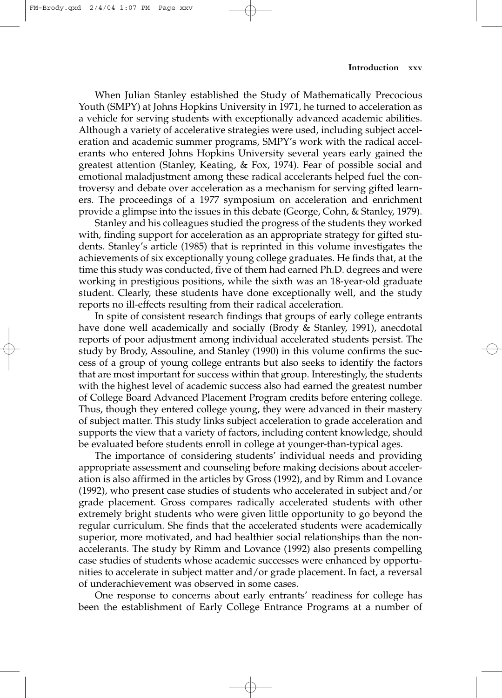When Julian Stanley established the Study of Mathematically Precocious Youth (SMPY) at Johns Hopkins University in 1971, he turned to acceleration as a vehicle for serving students with exceptionally advanced academic abilities. Although a variety of accelerative strategies were used, including subject acceleration and academic summer programs, SMPY's work with the radical accelerants who entered Johns Hopkins University several years early gained the greatest attention (Stanley, Keating, & Fox, 1974). Fear of possible social and emotional maladjustment among these radical accelerants helped fuel the controversy and debate over acceleration as a mechanism for serving gifted learners. The proceedings of a 1977 symposium on acceleration and enrichment provide a glimpse into the issues in this debate (George, Cohn, & Stanley, 1979).

Stanley and his colleagues studied the progress of the students they worked with, finding support for acceleration as an appropriate strategy for gifted students. Stanley's article (1985) that is reprinted in this volume investigates the achievements of six exceptionally young college graduates. He finds that, at the time this study was conducted, five of them had earned Ph.D. degrees and were working in prestigious positions, while the sixth was an 18-year-old graduate student. Clearly, these students have done exceptionally well, and the study reports no ill-effects resulting from their radical acceleration.

In spite of consistent research findings that groups of early college entrants have done well academically and socially (Brody & Stanley, 1991), anecdotal reports of poor adjustment among individual accelerated students persist. The study by Brody, Assouline, and Stanley (1990) in this volume confirms the success of a group of young college entrants but also seeks to identify the factors that are most important for success within that group. Interestingly, the students with the highest level of academic success also had earned the greatest number of College Board Advanced Placement Program credits before entering college. Thus, though they entered college young, they were advanced in their mastery of subject matter. This study links subject acceleration to grade acceleration and supports the view that a variety of factors, including content knowledge, should be evaluated before students enroll in college at younger-than-typical ages.

The importance of considering students' individual needs and providing appropriate assessment and counseling before making decisions about acceleration is also affirmed in the articles by Gross (1992), and by Rimm and Lovance (1992), who present case studies of students who accelerated in subject and/or grade placement. Gross compares radically accelerated students with other extremely bright students who were given little opportunity to go beyond the regular curriculum. She finds that the accelerated students were academically superior, more motivated, and had healthier social relationships than the nonaccelerants. The study by Rimm and Lovance (1992) also presents compelling case studies of students whose academic successes were enhanced by opportunities to accelerate in subject matter and/or grade placement. In fact, a reversal of underachievement was observed in some cases.

One response to concerns about early entrants' readiness for college has been the establishment of Early College Entrance Programs at a number of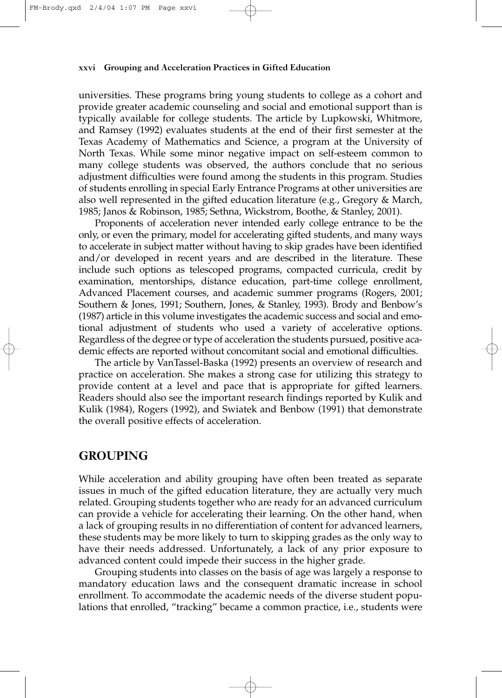#### **xxvi Grouping and Acceleration Practices in Gifted Education**

universities. These programs bring young students to college as a cohort and provide greater academic counseling and social and emotional support than is typically available for college students. The article by Lupkowski, Whitmore, and Ramsey (1992) evaluates students at the end of their first semester at the Texas Academy of Mathematics and Science, a program at the University of North Texas. While some minor negative impact on self-esteem common to many college students was observed, the authors conclude that no serious adjustment difficulties were found among the students in this program. Studies of students enrolling in special Early Entrance Programs at other universities are also well represented in the gifted education literature (e.g., Gregory & March, 1985; Janos & Robinson, 1985; Sethna, Wickstrom, Boothe, & Stanley, 2001).

Proponents of acceleration never intended early college entrance to be the only, or even the primary, model for accelerating gifted students, and many ways to accelerate in subject matter without having to skip grades have been identified and/or developed in recent years and are described in the literature. These include such options as telescoped programs, compacted curricula, credit by examination, mentorships, distance education, part-time college enrollment, Advanced Placement courses, and academic summer programs (Rogers, 2001; Southern & Jones, 1991; Southern, Jones, & Stanley, 1993). Brody and Benbow's (1987) article in this volume investigates the academic success and social and emotional adjustment of students who used a variety of accelerative options. Regardless of the degree or type of acceleration the students pursued, positive academic effects are reported without concomitant social and emotional difficulties.

The article by VanTassel-Baska (1992) presents an overview of research and practice on acceleration. She makes a strong case for utilizing this strategy to provide content at a level and pace that is appropriate for gifted learners. Readers should also see the important research findings reported by Kulik and Kulik (1984), Rogers (1992), and Swiatek and Benbow (1991) that demonstrate the overall positive effects of acceleration.

## **GROUPING**

While acceleration and ability grouping have often been treated as separate issues in much of the gifted education literature, they are actually very much related. Grouping students together who are ready for an advanced curriculum can provide a vehicle for accelerating their learning. On the other hand, when a lack of grouping results in no differentiation of content for advanced learners, these students may be more likely to turn to skipping grades as the only way to have their needs addressed. Unfortunately, a lack of any prior exposure to advanced content could impede their success in the higher grade.

Grouping students into classes on the basis of age was largely a response to mandatory education laws and the consequent dramatic increase in school enrollment. To accommodate the academic needs of the diverse student populations that enrolled, "tracking" became a common practice, i.e., students were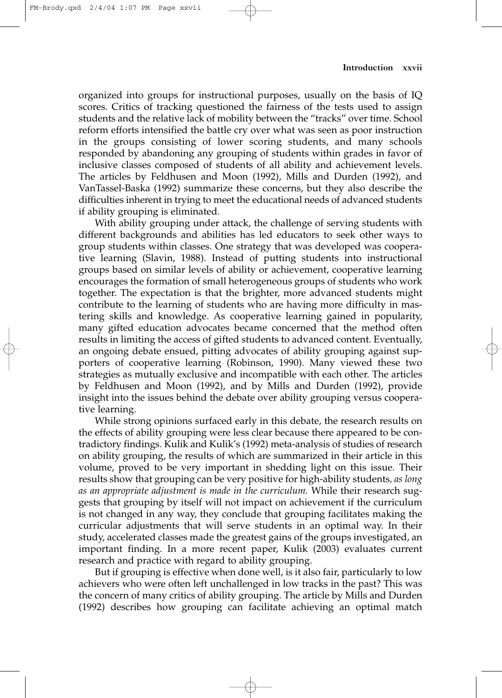organized into groups for instructional purposes, usually on the basis of IQ scores. Critics of tracking questioned the fairness of the tests used to assign students and the relative lack of mobility between the "tracks" over time. School reform efforts intensified the battle cry over what was seen as poor instruction in the groups consisting of lower scoring students, and many schools responded by abandoning any grouping of students within grades in favor of inclusive classes composed of students of all ability and achievement levels. The articles by Feldhusen and Moon (1992), Mills and Durden (1992), and VanTassel-Baska (1992) summarize these concerns, but they also describe the difficulties inherent in trying to meet the educational needs of advanced students if ability grouping is eliminated.

With ability grouping under attack, the challenge of serving students with different backgrounds and abilities has led educators to seek other ways to group students within classes. One strategy that was developed was cooperative learning (Slavin, 1988). Instead of putting students into instructional groups based on similar levels of ability or achievement, cooperative learning encourages the formation of small heterogeneous groups of students who work together. The expectation is that the brighter, more advanced students might contribute to the learning of students who are having more difficulty in mastering skills and knowledge. As cooperative learning gained in popularity, many gifted education advocates became concerned that the method often results in limiting the access of gifted students to advanced content. Eventually, an ongoing debate ensued, pitting advocates of ability grouping against supporters of cooperative learning (Robinson, 1990). Many viewed these two strategies as mutually exclusive and incompatible with each other. The articles by Feldhusen and Moon (1992), and by Mills and Durden (1992), provide insight into the issues behind the debate over ability grouping versus cooperative learning.

While strong opinions surfaced early in this debate, the research results on the effects of ability grouping were less clear because there appeared to be contradictory findings. Kulik and Kulik's (1992) meta-analysis of studies of research on ability grouping, the results of which are summarized in their article in this volume, proved to be very important in shedding light on this issue. Their results show that grouping can be very positive for high-ability students*, as long as an appropriate adjustment is made in the curriculum.* While their research suggests that grouping by itself will not impact on achievement if the curriculum is not changed in any way, they conclude that grouping facilitates making the curricular adjustments that will serve students in an optimal way. In their study, accelerated classes made the greatest gains of the groups investigated, an important finding. In a more recent paper, Kulik (2003) evaluates current research and practice with regard to ability grouping.

But if grouping is effective when done well, is it also fair, particularly to low achievers who were often left unchallenged in low tracks in the past? This was the concern of many critics of ability grouping. The article by Mills and Durden (1992) describes how grouping can facilitate achieving an optimal match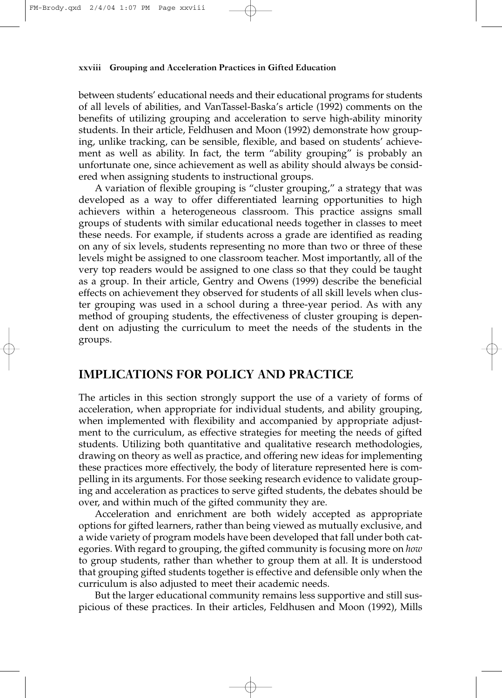#### **xxviii Grouping and Acceleration Practices in Gifted Education**

between students' educational needs and their educational programs for students of all levels of abilities, and VanTassel-Baska's article (1992) comments on the benefits of utilizing grouping and acceleration to serve high-ability minority students. In their article, Feldhusen and Moon (1992) demonstrate how grouping, unlike tracking, can be sensible, flexible, and based on students' achievement as well as ability. In fact, the term "ability grouping" is probably an unfortunate one, since achievement as well as ability should always be considered when assigning students to instructional groups.

A variation of flexible grouping is "cluster grouping," a strategy that was developed as a way to offer differentiated learning opportunities to high achievers within a heterogeneous classroom. This practice assigns small groups of students with similar educational needs together in classes to meet these needs. For example, if students across a grade are identified as reading on any of six levels, students representing no more than two or three of these levels might be assigned to one classroom teacher. Most importantly, all of the very top readers would be assigned to one class so that they could be taught as a group. In their article, Gentry and Owens (1999) describe the beneficial effects on achievement they observed for students of all skill levels when cluster grouping was used in a school during a three-year period. As with any method of grouping students, the effectiveness of cluster grouping is dependent on adjusting the curriculum to meet the needs of the students in the groups.

## **IMPLICATIONS FOR POLICY AND PRACTICE**

The articles in this section strongly support the use of a variety of forms of acceleration, when appropriate for individual students, and ability grouping, when implemented with flexibility and accompanied by appropriate adjustment to the curriculum, as effective strategies for meeting the needs of gifted students. Utilizing both quantitative and qualitative research methodologies, drawing on theory as well as practice, and offering new ideas for implementing these practices more effectively, the body of literature represented here is compelling in its arguments. For those seeking research evidence to validate grouping and acceleration as practices to serve gifted students, the debates should be over, and within much of the gifted community they are.

Acceleration and enrichment are both widely accepted as appropriate options for gifted learners, rather than being viewed as mutually exclusive, and a wide variety of program models have been developed that fall under both categories. With regard to grouping, the gifted community is focusing more on *how* to group students, rather than whether to group them at all. It is understood that grouping gifted students together is effective and defensible only when the curriculum is also adjusted to meet their academic needs.

But the larger educational community remains less supportive and still suspicious of these practices. In their articles, Feldhusen and Moon (1992), Mills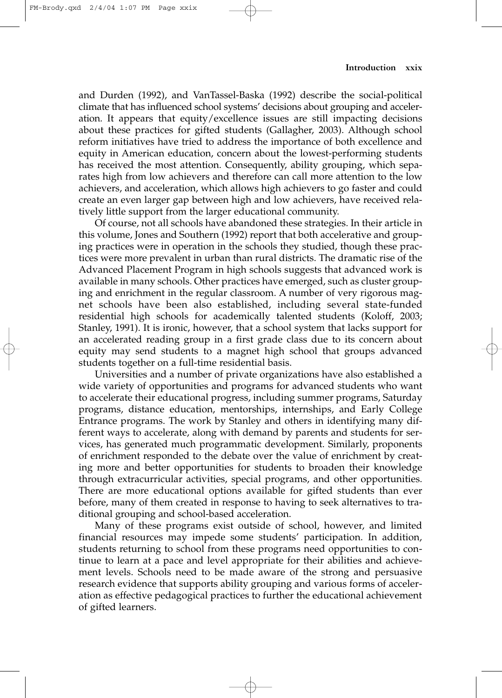and Durden (1992), and VanTassel-Baska (1992) describe the social-political climate that has influenced school systems' decisions about grouping and acceleration. It appears that equity/excellence issues are still impacting decisions about these practices for gifted students (Gallagher, 2003). Although school reform initiatives have tried to address the importance of both excellence and equity in American education, concern about the lowest-performing students has received the most attention. Consequently, ability grouping, which separates high from low achievers and therefore can call more attention to the low achievers, and acceleration, which allows high achievers to go faster and could create an even larger gap between high and low achievers, have received relatively little support from the larger educational community.

Of course, not all schools have abandoned these strategies. In their article in this volume, Jones and Southern (1992) report that both accelerative and grouping practices were in operation in the schools they studied, though these practices were more prevalent in urban than rural districts. The dramatic rise of the Advanced Placement Program in high schools suggests that advanced work is available in many schools. Other practices have emerged, such as cluster grouping and enrichment in the regular classroom. A number of very rigorous magnet schools have been also established, including several state-funded residential high schools for academically talented students (Koloff, 2003; Stanley, 1991). It is ironic, however, that a school system that lacks support for an accelerated reading group in a first grade class due to its concern about equity may send students to a magnet high school that groups advanced students together on a full-time residential basis.

Universities and a number of private organizations have also established a wide variety of opportunities and programs for advanced students who want to accelerate their educational progress, including summer programs, Saturday programs, distance education, mentorships, internships, and Early College Entrance programs. The work by Stanley and others in identifying many different ways to accelerate, along with demand by parents and students for services, has generated much programmatic development. Similarly, proponents of enrichment responded to the debate over the value of enrichment by creating more and better opportunities for students to broaden their knowledge through extracurricular activities, special programs, and other opportunities. There are more educational options available for gifted students than ever before, many of them created in response to having to seek alternatives to traditional grouping and school-based acceleration.

Many of these programs exist outside of school, however, and limited financial resources may impede some students' participation. In addition, students returning to school from these programs need opportunities to continue to learn at a pace and level appropriate for their abilities and achievement levels. Schools need to be made aware of the strong and persuasive research evidence that supports ability grouping and various forms of acceleration as effective pedagogical practices to further the educational achievement of gifted learners.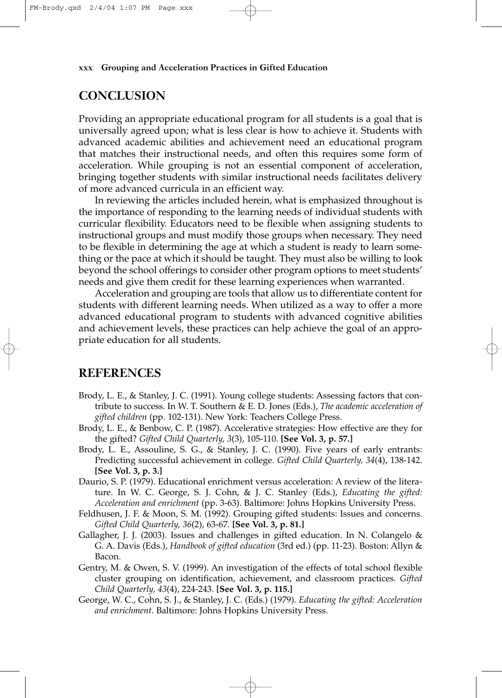#### **xxx Grouping and Acceleration Practices in Gifted Education**

## **CONCLUSION**

Providing an appropriate educational program for all students is a goal that is universally agreed upon; what is less clear is how to achieve it. Students with advanced academic abilities and achievement need an educational program that matches their instructional needs, and often this requires some form of acceleration. While grouping is not an essential component of acceleration, bringing together students with similar instructional needs facilitates delivery of more advanced curricula in an efficient way.

In reviewing the articles included herein, what is emphasized throughout is the importance of responding to the learning needs of individual students with curricular flexibility. Educators need to be flexible when assigning students to instructional groups and must modify those groups when necessary. They need to be flexible in determining the age at which a student is ready to learn something or the pace at which it should be taught. They must also be willing to look beyond the school offerings to consider other program options to meet students' needs and give them credit for these learning experiences when warranted.

Acceleration and grouping are tools that allow us to differentiate content for students with different learning needs. When utilized as a way to offer a more advanced educational program to students with advanced cognitive abilities and achievement levels, these practices can help achieve the goal of an appropriate education for all students.

## **REFERENCES**

- Brody, L. E., & Stanley, J. C. (1991). Young college students: Assessing factors that contribute to success. In W. T. Southern & E. D. Jones (Eds.), *The academic acceleration of gifted children* (pp. 102-131). New York: Teachers College Press.
- Brody, L. E., & Benbow, C. P. (1987). Accelerative strategies: How effective are they for the gifted? *Gifted Child Quarterly, 3*(3), 105-110. **[See Vol. 3, p. 57.]**
- Brody, L. E., Assouline, S. G., & Stanley, J. C. (1990). Five years of early entrants: Predicting successful achievement in college. *Gifted Child Quarterly, 34*(4), 138-142. **[See Vol. 3, p. 3.]**
- Daurio, S. P. (1979). Educational enrichment versus acceleration: A review of the literature. In W. C. George, S. J. Cohn, & J. C. Stanley (Eds.), *Educating the gifted: Acceleration and enrichment* (pp. 3-63). Baltimore: Johns Hopkins University Press.
- Feldhusen, J. F. & Moon, S. M. (1992). Grouping gifted students: Issues and concerns. *Gifted Child Quarterly, 36*(2), 63-67. **[See Vol. 3, p. 81.]**
- Gallagher, J. J. (2003). Issues and challenges in gifted education. In N. Colangelo & G. A. Davis (Eds.), *Handbook of gifted education* (3rd ed.) (pp. 11-23). Boston: Allyn & Bacon.
- Gentry, M. & Owen, S. V. (1999). An investigation of the effects of total school flexible cluster grouping on identification, achievement, and classroom practices. *Gifted Child Quarterly, 43*(4), 224-243. **[See Vol. 3, p. 115.]**
- George, W. C., Cohn, S. J., & Stanley, J. C. (Eds.) (1979). *Educating the gifted: Acceleration and enrichment*. Baltimore: Johns Hopkins University Press.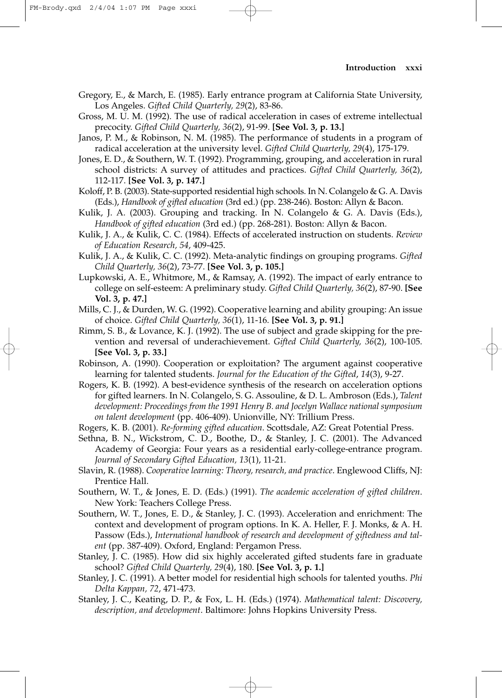Gregory, E., & March, E. (1985). Early entrance program at California State University, Los Angeles. *Gifted Child Quarterly, 29*(2), 83-86.

Gross, M. U. M. (1992). The use of radical acceleration in cases of extreme intellectual precocity. *Gifted Child Quarterly, 36*(2), 91-99. **[See Vol. 3, p. 13.]**

Janos, P. M., & Robinson, N. M. (1985). The performance of students in a program of radical acceleration at the university level. *Gifted Child Quarterly, 29*(4), 175-179.

Jones, E. D., & Southern, W. T. (1992). Programming, grouping, and acceleration in rural school districts: A survey of attitudes and practices. *Gifted Child Quarterly, 36*(2), 112-117. **[See Vol. 3, p. 147.]**

Koloff, P. B. (2003). State-supported residential high schools. In N. Colangelo & G. A. Davis (Eds.), *Handbook of gifted education* (3rd ed.) (pp. 238-246). Boston: Allyn & Bacon.

Kulik, J. A. (2003). Grouping and tracking. In N. Colangelo & G. A. Davis (Eds.), *Handbook of gifted education* (3rd ed.) (pp. 268-281). Boston: Allyn & Bacon.

Kulik, J. A., & Kulik, C. C. (1984). Effects of accelerated instruction on students. *Review of Education Research, 54*, 409-425.

Kulik, J. A., & Kulik, C. C. (1992). Meta-analytic findings on grouping programs. *Gifted Child Quarterly, 36*(2), 73-77. **[See Vol. 3, p. 105.]**

Lupkowski, A. E., Whitmore, M., & Ramsay, A. (1992). The impact of early entrance to college on self-esteem: A preliminary study. *Gifted Child Quarterly, 36*(2), 87-90. **[See Vol. 3, p. 47.]**

Mills, C. J., & Durden, W. G. (1992). Cooperative learning and ability grouping: An issue of choice. *Gifted Child Quarterly, 36*(1), 11-16. **[See Vol. 3, p. 91.]**

Rimm, S. B., & Lovance, K. J. (1992). The use of subject and grade skipping for the prevention and reversal of underachievement. *Gifted Child Quarterly, 36*(2), 100-105. **[See Vol. 3, p. 33.]**

Robinson, A. (1990). Cooperation or exploitation? The argument against cooperative learning for talented students. *Journal for the Education of the Gifted*, *14*(3), 9-27.

Rogers, K. B. (1992). A best-evidence synthesis of the research on acceleration options for gifted learners. In N. Colangelo, S. G. Assouline, & D. L. Ambroson (Eds.), *Talent development: Proceedings from the 1991 Henry B. and Jocelyn Wallace national symposium on talent development* (pp. 406-409). Unionville, NY: Trillium Press.

Rogers, K. B. (2001). *Re-forming gifted education*. Scottsdale, AZ: Great Potential Press.

Sethna, B. N., Wickstrom, C. D., Boothe, D., & Stanley, J. C. (2001). The Advanced Academy of Georgia: Four years as a residential early-college-entrance program. *Journal of Secondary Gifted Education, 13*(1), 11-21.

Slavin, R. (1988). *Cooperative learning: Theory, research, and practice*. Englewood Cliffs, NJ: Prentice Hall.

Southern, W. T., & Jones, E. D. (Eds.) (1991). *The academic acceleration of gifted children*. New York: Teachers College Press.

Southern, W. T., Jones, E. D., & Stanley, J. C. (1993). Acceleration and enrichment: The context and development of program options. In K. A. Heller, F. J. Monks, & A. H. Passow (Eds.), *International handbook of research and development of giftedness and talent* (pp. 387-409). Oxford, England: Pergamon Press.

Stanley, J. C. (1985). How did six highly accelerated gifted students fare in graduate school? *Gifted Child Quarterly, 29*(4), 180. **[See Vol. 3, p. 1.]**

Stanley, J. C. (1991). A better model for residential high schools for talented youths. *Phi Delta Kappan, 72*, 471-473.

Stanley, J. C., Keating, D. P., & Fox, L. H. (Eds.) (1974). *Mathematical talent: Discovery, description, and development*. Baltimore: Johns Hopkins University Press.